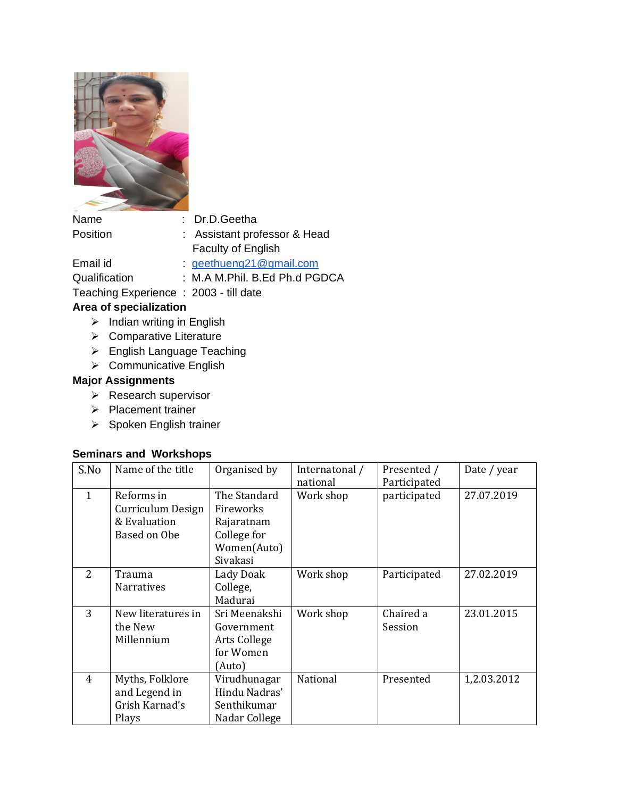

| Name                                  | : Dr.D.Geetha                 |
|---------------------------------------|-------------------------------|
| Position                              | : Assistant professor & Head  |
|                                       | Faculty of English            |
| Email id                              | geethueng21 $@$ gmail.com     |
| Qualification                         | : M.A M.Phil. B.Ed Ph.d PGDCA |
| Teaching Experience: 2003 - till date |                               |

## **Area of specialization**

- ➢ Indian writing in English
- ➢ Comparative Literature
- ➢ English Language Teaching
- ➢ Communicative English

## **Major Assignments**

- ➢ Research supervisor
- ➢ Placement trainer
- ➢ Spoken English trainer

## **Seminars and Workshops**

| S.No                     | Name of the title                                               | Organised by                                                                             | Internatonal /<br>national | Presented /<br>Participated | Date / year |
|--------------------------|-----------------------------------------------------------------|------------------------------------------------------------------------------------------|----------------------------|-----------------------------|-------------|
| $\mathbf{1}$             | Reforms in<br>Curriculum Design<br>& Evaluation<br>Based on Obe | The Standard<br><b>Fireworks</b><br>Rajaratnam<br>College for<br>Women(Auto)<br>Sivakasi | Work shop                  | participated                | 27.07.2019  |
| $\overline{\mathcal{L}}$ | Trauma<br><b>Narratives</b>                                     | Lady Doak<br>College,<br>Madurai                                                         | Work shop                  | Participated                | 27.02.2019  |
| 3                        | New literatures in<br>the New<br>Millennium                     | Sri Meenakshi<br>Government<br>Arts College<br>for Women<br>(Auto)                       | Work shop                  | Chaired a<br>Session        | 23.01.2015  |
| 4                        | Myths, Folklore<br>and Legend in<br>Grish Karnad's<br>Plays     | Virudhunagar<br>Hindu Nadras'<br>Senthikumar<br>Nadar College                            | National                   | Presented                   | 1,2.03.2012 |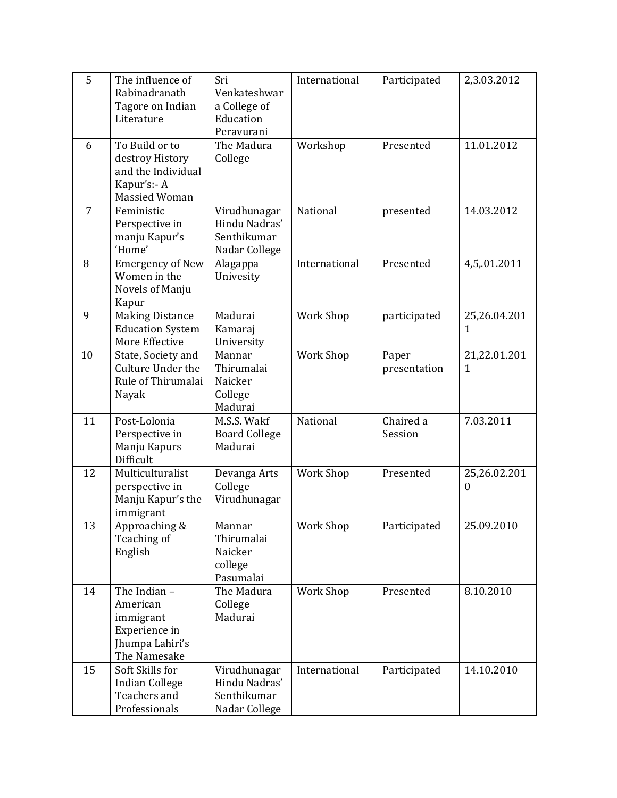| 5  | The influence of<br>Rabinadranath<br>Tagore on Indian<br>Literature                            | Sri<br>Venkateshwar<br>a College of<br>Education<br>Peravurani | International    | Participated          | 2,3.03.2012              |
|----|------------------------------------------------------------------------------------------------|----------------------------------------------------------------|------------------|-----------------------|--------------------------|
| 6  | To Build or to<br>destroy History<br>and the Individual<br>Kapur's:- A<br><b>Massied Woman</b> | The Madura<br>College                                          | Workshop         | Presented             | 11.01.2012               |
| 7  | Feministic<br>Perspective in<br>manju Kapur's<br>'Home'                                        | Virudhunagar<br>Hindu Nadras'<br>Senthikumar<br>Nadar College  | National         | presented             | 14.03.2012               |
| 8  | <b>Emergency of New</b><br>Women in the<br>Novels of Manju<br>Kapur                            | Alagappa<br>Univesity                                          | International    | Presented             | 4,5,.01.2011             |
| 9  | <b>Making Distance</b><br><b>Education System</b><br>More Effective                            | Madurai<br>Kamaraj<br>University                               | <b>Work Shop</b> | participated          | 25,26.04.201<br>1        |
| 10 | State, Society and<br>Culture Under the<br>Rule of Thirumalai<br>Nayak                         | Mannar<br>Thirumalai<br>Naicker<br>College<br>Madurai          | <b>Work Shop</b> | Paper<br>presentation | 21,22.01.201<br>1        |
| 11 | Post-Lolonia<br>Perspective in<br>Manju Kapurs<br>Difficult                                    | M.S.S. Wakf<br><b>Board College</b><br>Madurai                 | National         | Chaired a<br>Session  | 7.03.2011                |
| 12 | Multiculturalist<br>perspective in<br>Manju Kapur's the<br>immigrant                           | Devanga Arts<br>College<br>Virudhunagar                        | <b>Work Shop</b> | Presented             | 25,26.02.201<br>$\theta$ |
| 13 | Approaching &<br>Teaching of<br>English                                                        | Mannar<br>Thirumalai<br>Naicker<br>college<br>Pasumalai        | Work Shop        | Participated          | 25.09.2010               |
| 14 | The Indian -<br>American<br>immigrant<br>Experience in<br>Jhumpa Lahiri's<br>The Namesake      | The Madura<br>College<br>Madurai                               | Work Shop        | Presented             | 8.10.2010                |
| 15 | Soft Skills for<br><b>Indian College</b><br>Teachers and<br>Professionals                      | Virudhunagar<br>Hindu Nadras'<br>Senthikumar<br>Nadar College  | International    | Participated          | 14.10.2010               |